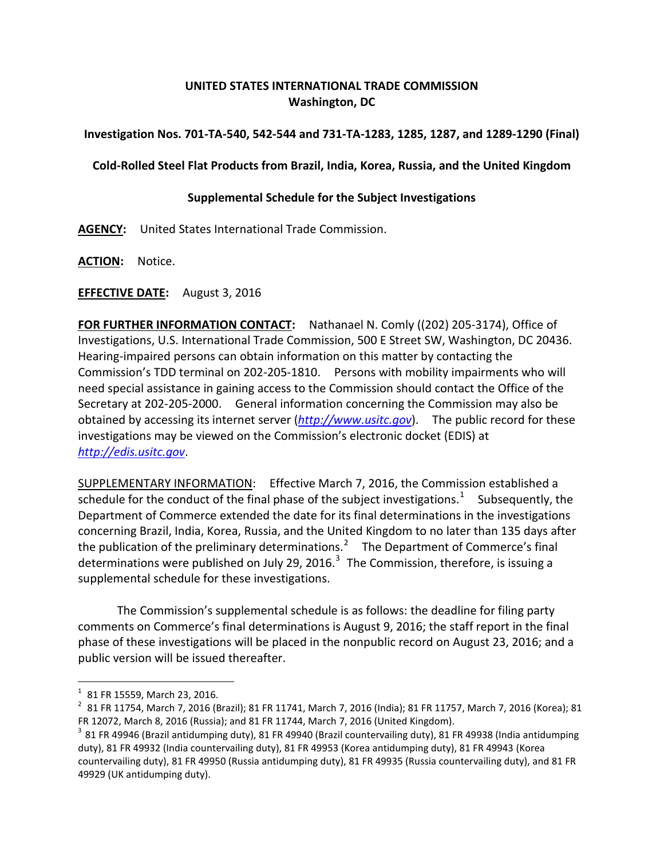# **UNITED STATES INTERNATIONAL TRADE COMMISSION Washington, DC**

## **Investigation Nos. 701-TA-540, 542-544 and 731-TA-1283, 1285, 1287, and 1289-1290 (Final)**

## **Cold-Rolled Steel Flat Products from Brazil, India, Korea, Russia, and the United Kingdom**

### **Supplemental Schedule for the Subject Investigations**

**AGENCY:** United States International Trade Commission.

**ACTION:** Notice.

### **EFFECTIVE DATE:** August 3, 2016

**FOR FURTHER INFORMATION CONTACT:** Nathanael N. Comly ((202) 205-3174), Office of Investigations, U.S. International Trade Commission, 500 E Street SW, Washington, DC 20436. Hearing-impaired persons can obtain information on this matter by contacting the Commission's TDD terminal on 202-205-1810. Persons with mobility impairments who will need special assistance in gaining access to the Commission should contact the Office of the Secretary at 202-205-2000. General information concerning the Commission may also be obtained by accessing its internet server (*[http://www.usitc.gov](http://www.usitc.gov/)*). The public record for these investigations may be viewed on the Commission's electronic docket (EDIS) at *[http://edis.usitc.gov](http://edis.usitc.gov/)*.

SUPPLEMENTARY INFORMATION: Effective March 7, 2016, the Commission established a schedule for the conduct of the final phase of the subject investigations.<sup>[1](#page-0-0)</sup> Subsequently, the Department of Commerce extended the date for its final determinations in the investigations concerning Brazil, India, Korea, Russia, and the United Kingdom to no later than 135 days after the publication of the preliminary determinations.<sup>[2](#page-0-1)</sup> The Department of Commerce's final determinations were published on July 29, 2016.<sup>[3](#page-0-2)</sup> The Commission, therefore, is issuing a supplemental schedule for these investigations.

The Commission's supplemental schedule is as follows: the deadline for filing party comments on Commerce's final determinations is August 9, 2016; the staff report in the final phase of these investigations will be placed in the nonpublic record on August 23, 2016; and a public version will be issued thereafter.

<span id="page-0-1"></span><span id="page-0-0"></span> $^{\rm 1}$  81 FR 15559, March 23, 2016.<br> $^{\rm 2}$  81 FR 11754, March 7, 2016 (Brazil); 81 FR 11741, March 7, 2016 (India); 81 FR 11757, March 7, 2016 (Korea); 81 FR 12072, March 8, 2016 (Russia); and 81 FR 11744, March 7, 2016 (United Kingdom).<br><sup>3</sup> 81 FR 49946 (Brazil antidumping duty), 81 FR 49940 (Brazil countervailing duty), 81 FR 49938 (India antidumping

<span id="page-0-2"></span>duty), 81 FR 49932 (India countervailing duty), 81 FR 49953 (Korea antidumping duty), 81 FR 49943 (Korea countervailing duty), 81 FR 49950 (Russia antidumping duty), 81 FR 49935 (Russia countervailing duty), and 81 FR 49929 (UK antidumping duty).